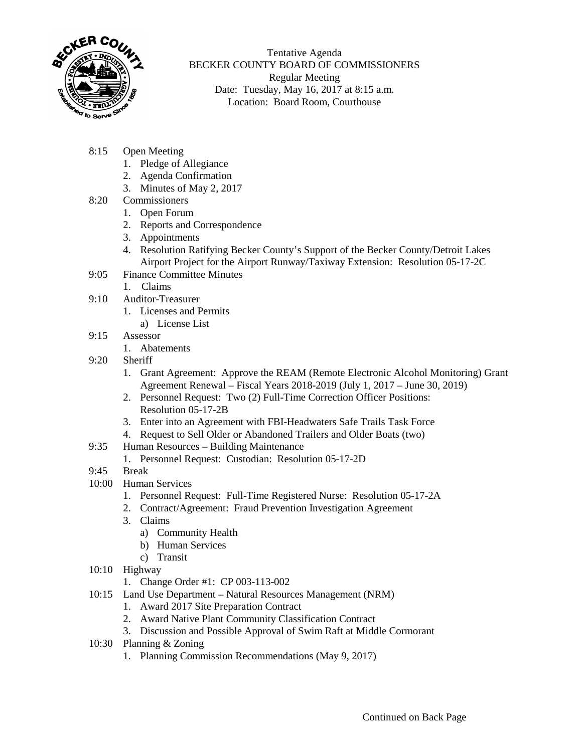

Tentative Agenda BECKER COUNTY BOARD OF COMMISSIONERS Regular Meeting Date: Tuesday, May 16, 2017 at 8:15 a.m. Location: Board Room, Courthouse

- 8:15 Open Meeting
	- 1. Pledge of Allegiance
	- 2. Agenda Confirmation
	- 3. Minutes of May 2, 2017
- 8:20 Commissioners
	- 1. Open Forum
	- 2. Reports and Correspondence
	- 3. Appointments
	- 4. Resolution Ratifying Becker County's Support of the Becker County/Detroit Lakes Airport Project for the Airport Runway/Taxiway Extension: Resolution 05-17-2C
- 9:05 Finance Committee Minutes
	- 1. Claims
- 9:10 Auditor-Treasurer
	- 1. Licenses and Permits
		- a) License List
- 9:15 Assessor
	- 1. Abatements
- 9:20 Sheriff
	- 1. Grant Agreement: Approve the REAM (Remote Electronic Alcohol Monitoring) Grant Agreement Renewal – Fiscal Years 2018-2019 (July 1, 2017 – June 30, 2019)
	- 2. Personnel Request: Two (2) Full-Time Correction Officer Positions: Resolution 05-17-2B
	- 3. Enter into an Agreement with FBI-Headwaters Safe Trails Task Force
	- 4. Request to Sell Older or Abandoned Trailers and Older Boats (two)
- 9:35 Human Resources Building Maintenance
	- 1. Personnel Request: Custodian: Resolution 05-17-2D
- 9:45 Break
- 10:00 Human Services
	- 1. Personnel Request: Full-Time Registered Nurse: Resolution 05-17-2A
	- 2. Contract/Agreement: Fraud Prevention Investigation Agreement
	- 3. Claims
		- a) Community Health
		- b) Human Services
		- c) Transit
- 10:10 Highway
	- 1. Change Order #1: CP 003-113-002
- 10:15 Land Use Department Natural Resources Management (NRM)
	- 1. Award 2017 Site Preparation Contract
	- 2. Award Native Plant Community Classification Contract
	- 3. Discussion and Possible Approval of Swim Raft at Middle Cormorant
- 10:30 Planning & Zoning
	- 1. Planning Commission Recommendations (May 9, 2017)